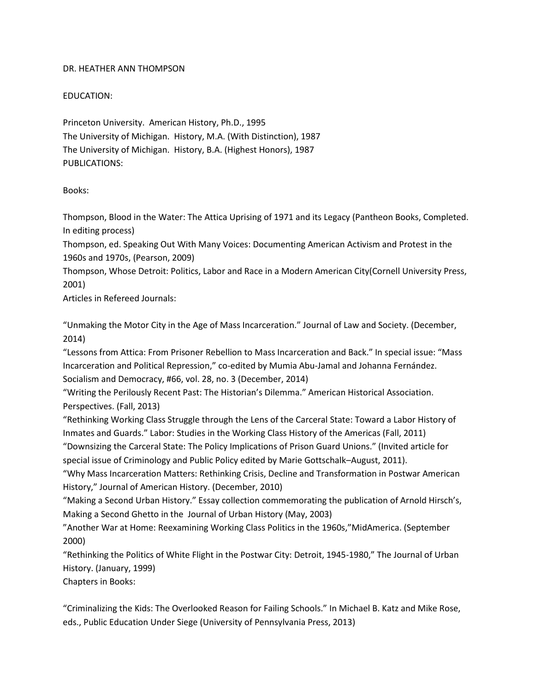## DR. HEATHER ANN THOMPSON

## EDUCATION:

Princeton University. American History, Ph.D., 1995 The University of Michigan. History, M.A. (With Distinction), 1987 The University of Michigan. History, B.A. (Highest Honors), 1987 PUBLICATIONS:

## Books:

Thompson, Blood in the Water: The Attica Uprising of 1971 and its Legacy (Pantheon Books, Completed. In editing process)

Thompson, ed. Speaking Out With Many Voices: Documenting American Activism and Protest in the 1960s and 1970s, (Pearson, 2009)

Thompson, Whose Detroit: Politics, Labor and Race in a Modern American City(Cornell University Press, 2001)

Articles in Refereed Journals:

"Unmaking the Motor City in the Age of Mass Incarceration." Journal of Law and Society. (December, 2014)

"Lessons from Attica: From Prisoner Rebellion to Mass Incarceration and Back." In special issue: "Mass Incarceration and Political Repression," co-edited by Mumia Abu-Jamal and Johanna Fernández. Socialism and Democracy, #66, vol. 28, no. 3 (December, 2014)

"Writing the Perilously Recent Past: The Historian's Dilemma." American Historical Association. Perspectives. (Fall, 2013)

"Rethinking Working Class Struggle through the Lens of the Carceral State: Toward a Labor History of Inmates and Guards." Labor: Studies in the Working Class History of the Americas (Fall, 2011)

"Downsizing the Carceral State: The Policy Implications of Prison Guard Unions." (Invited article for special issue of Criminology and Public Policy edited by Marie Gottschalk–August, 2011).

"Why Mass Incarceration Matters: Rethinking Crisis, Decline and Transformation in Postwar American History," Journal of American History. (December, 2010)

"Making a Second Urban History." Essay collection commemorating the publication of Arnold Hirsch's, Making a Second Ghetto in the Journal of Urban History (May, 2003)

"Another War at Home: Reexamining Working Class Politics in the 1960s,"MidAmerica. (September 2000)

"Rethinking the Politics of White Flight in the Postwar City: Detroit, 1945-1980," The Journal of Urban History. (January, 1999)

Chapters in Books:

"Criminalizing the Kids: The Overlooked Reason for Failing Schools." In Michael B. Katz and Mike Rose, eds., Public Education Under Siege (University of Pennsylvania Press, 2013)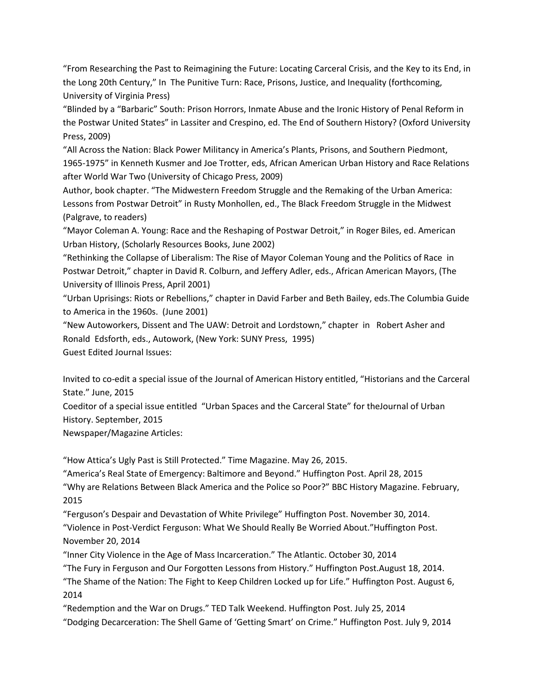"From Researching the Past to Reimagining the Future: Locating Carceral Crisis, and the Key to its End, in the Long 20th Century," In The Punitive Turn: Race, Prisons, Justice, and Inequality (forthcoming, University of Virginia Press)

"Blinded by a "Barbaric" South: Prison Horrors, Inmate Abuse and the Ironic History of Penal Reform in the Postwar United States" in Lassiter and Crespino, ed. The End of Southern History? (Oxford University Press, 2009)

"All Across the Nation: Black Power Militancy in America's Plants, Prisons, and Southern Piedmont, 1965-1975" in Kenneth Kusmer and Joe Trotter, eds, African American Urban History and Race Relations after World War Two (University of Chicago Press, 2009)

Author, book chapter. "The Midwestern Freedom Struggle and the Remaking of the Urban America: Lessons from Postwar Detroit" in Rusty Monhollen, ed., The Black Freedom Struggle in the Midwest (Palgrave, to readers)

"Mayor Coleman A. Young: Race and the Reshaping of Postwar Detroit," in Roger Biles, ed. American Urban History, (Scholarly Resources Books, June 2002)

"Rethinking the Collapse of Liberalism: The Rise of Mayor Coleman Young and the Politics of Race in Postwar Detroit," chapter in David R. Colburn, and Jeffery Adler, eds., African American Mayors, (The University of Illinois Press, April 2001)

"Urban Uprisings: Riots or Rebellions," chapter in David Farber and Beth Bailey, eds.The Columbia Guide to America in the 1960s. (June 2001)

"New Autoworkers, Dissent and The UAW: Detroit and Lordstown," chapter in Robert Asher and Ronald Edsforth, eds., Autowork, (New York: SUNY Press, 1995) Guest Edited Journal Issues:

Invited to co-edit a special issue of the Journal of American History entitled, "Historians and the Carceral State." June, 2015

Coeditor of a special issue entitled "Urban Spaces and the Carceral State" for theJournal of Urban History. September, 2015

Newspaper/Magazine Articles:

"How Attica's Ugly Past is Still Protected." Time Magazine. May 26, 2015.

"America's Real State of Emergency: Baltimore and Beyond." Huffington Post. April 28, 2015

"Why are Relations Between Black America and the Police so Poor?" BBC History Magazine. February, 2015

"Ferguson's Despair and Devastation of White Privilege" Huffington Post. November 30, 2014.

"Violence in Post-Verdict Ferguson: What We Should Really Be Worried About."Huffington Post. November 20, 2014

"Inner City Violence in the Age of Mass Incarceration." The Atlantic. October 30, 2014

"The Fury in Ferguson and Our Forgotten Lessons from History." Huffington Post.August 18, 2014.

"The Shame of the Nation: The Fight to Keep Children Locked up for Life." Huffington Post. August 6, 2014

"Redemption and the War on Drugs." TED Talk Weekend. Huffington Post. July 25, 2014

"Dodging Decarceration: The Shell Game of 'Getting Smart' on Crime." Huffington Post. July 9, 2014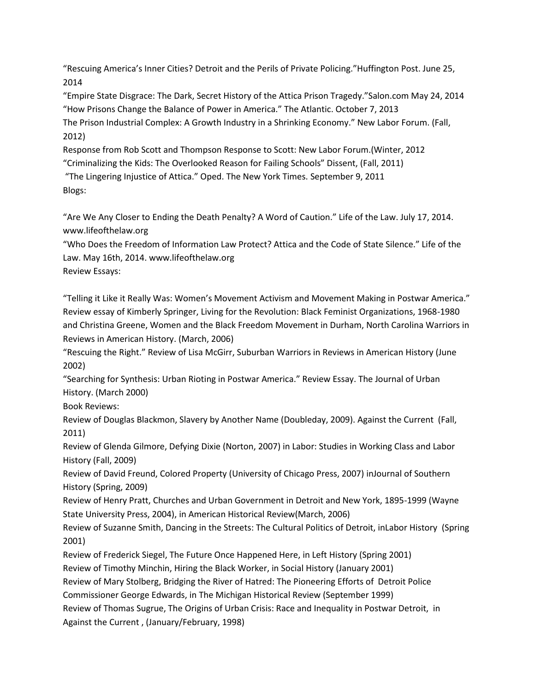"Rescuing America's Inner Cities? Detroit and the Perils of Private Policing."Huffington Post. June 25, 2014

"Empire State Disgrace: The Dark, Secret History of the Attica Prison Tragedy."Salon.com May 24, 2014 "How Prisons Change the Balance of Power in America." The Atlantic. October 7, 2013 The Prison Industrial Complex: A Growth Industry in a Shrinking Economy." New Labor Forum. (Fall, 2012)

Response from Rob Scott and Thompson Response to Scott: New Labor Forum.(Winter, 2012 "Criminalizing the Kids: The Overlooked Reason for Failing Schools" Dissent, (Fall, 2011)

"The Lingering Injustice of Attica." Oped. The New York Times. September 9, 2011 Blogs:

"Are We Any Closer to Ending the Death Penalty? A Word of Caution." Life of the Law. July 17, 2014. www.lifeofthelaw.org

"Who Does the Freedom of Information Law Protect? Attica and the Code of State Silence." Life of the Law. May 16th, 2014. www.lifeofthelaw.org

Review Essays:

"Telling it Like it Really Was: Women's Movement Activism and Movement Making in Postwar America." Review essay of Kimberly Springer, Living for the Revolution: Black Feminist Organizations, 1968-1980 and Christina Greene, Women and the Black Freedom Movement in Durham, North Carolina Warriors in Reviews in American History. (March, 2006)

"Rescuing the Right." Review of Lisa McGirr, Suburban Warriors in Reviews in American History (June 2002)

"Searching for Synthesis: Urban Rioting in Postwar America." Review Essay. The Journal of Urban History. (March 2000)

Book Reviews:

Review of Douglas Blackmon, Slavery by Another Name (Doubleday, 2009). Against the Current (Fall, 2011)

Review of Glenda Gilmore, Defying Dixie (Norton, 2007) in Labor: Studies in Working Class and Labor History (Fall, 2009)

Review of David Freund, Colored Property (University of Chicago Press, 2007) inJournal of Southern History (Spring, 2009)

Review of Henry Pratt, Churches and Urban Government in Detroit and New York, 1895-1999 (Wayne State University Press, 2004), in American Historical Review(March, 2006)

Review of Suzanne Smith, Dancing in the Streets: The Cultural Politics of Detroit, inLabor History (Spring 2001)

Review of Frederick Siegel, The Future Once Happened Here, in Left History (Spring 2001) Review of Timothy Minchin, Hiring the Black Worker, in Social History (January 2001) Review of Mary Stolberg, Bridging the River of Hatred: The Pioneering Efforts of Detroit Police Commissioner George Edwards, in The Michigan Historical Review (September 1999) Review of Thomas Sugrue, The Origins of Urban Crisis: Race and Inequality in Postwar Detroit, in Against the Current , (January/February, 1998)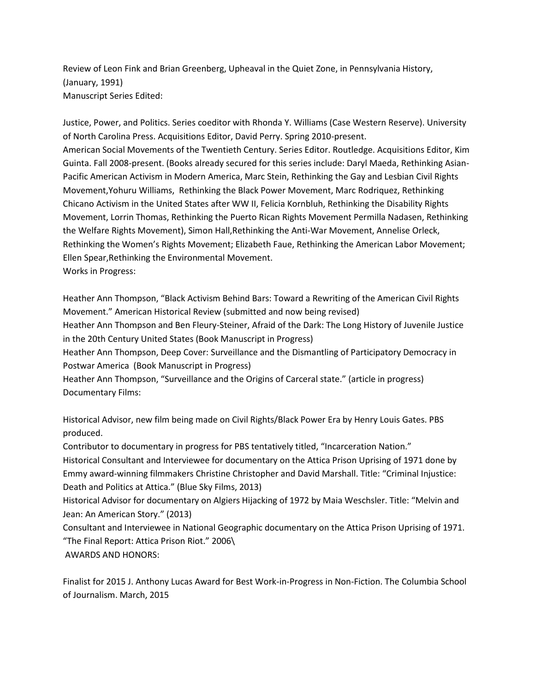Review of Leon Fink and Brian Greenberg, Upheaval in the Quiet Zone, in Pennsylvania History, (January, 1991) Manuscript Series Edited:

Justice, Power, and Politics. Series coeditor with Rhonda Y. Williams (Case Western Reserve). University of North Carolina Press. Acquisitions Editor, David Perry. Spring 2010-present. American Social Movements of the Twentieth Century. Series Editor. Routledge. Acquisitions Editor, Kim Guinta. Fall 2008-present. (Books already secured for this series include: Daryl Maeda, Rethinking Asian-Pacific American Activism in Modern America, Marc Stein, Rethinking the Gay and Lesbian Civil Rights Movement,Yohuru Williams, Rethinking the Black Power Movement, Marc Rodriquez, Rethinking Chicano Activism in the United States after WW II, Felicia Kornbluh, Rethinking the Disability Rights Movement, Lorrin Thomas, Rethinking the Puerto Rican Rights Movement Permilla Nadasen, Rethinking the Welfare Rights Movement), Simon Hall,Rethinking the Anti-War Movement, Annelise Orleck, Rethinking the Women's Rights Movement; Elizabeth Faue, Rethinking the American Labor Movement; Ellen Spear,Rethinking the Environmental Movement. Works in Progress:

Heather Ann Thompson, "Black Activism Behind Bars: Toward a Rewriting of the American Civil Rights Movement." American Historical Review (submitted and now being revised) Heather Ann Thompson and Ben Fleury-Steiner, Afraid of the Dark: The Long History of Juvenile Justice in the 20th Century United States (Book Manuscript in Progress) Heather Ann Thompson, Deep Cover: Surveillance and the Dismantling of Participatory Democracy in Postwar America (Book Manuscript in Progress) Heather Ann Thompson, "Surveillance and the Origins of Carceral state." (article in progress) Documentary Films:

Historical Advisor, new film being made on Civil Rights/Black Power Era by Henry Louis Gates. PBS produced.

Contributor to documentary in progress for PBS tentatively titled, "Incarceration Nation." Historical Consultant and Interviewee for documentary on the Attica Prison Uprising of 1971 done by Emmy award-winning filmmakers Christine Christopher and David Marshall. Title: "Criminal Injustice: Death and Politics at Attica." (Blue Sky Films, 2013)

Historical Advisor for documentary on Algiers Hijacking of 1972 by Maia Weschsler. Title: "Melvin and Jean: An American Story." (2013)

Consultant and Interviewee in National Geographic documentary on the Attica Prison Uprising of 1971. "The Final Report: Attica Prison Riot." 2006\ AWARDS AND HONORS:

Finalist for 2015 J. Anthony Lucas Award for Best Work-in-Progress in Non-Fiction. The Columbia School of Journalism. March, 2015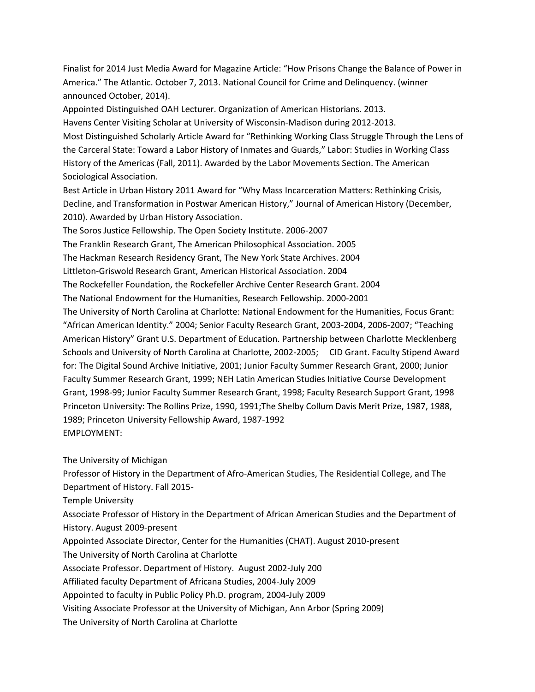Finalist for 2014 Just Media Award for Magazine Article: "How Prisons Change the Balance of Power in America." The Atlantic. October 7, 2013. National Council for Crime and Delinquency. (winner announced October, 2014).

Appointed Distinguished OAH Lecturer. Organization of American Historians. 2013.

Havens Center Visiting Scholar at University of Wisconsin-Madison during 2012-2013.

Most Distinguished Scholarly Article Award for "Rethinking Working Class Struggle Through the Lens of the Carceral State: Toward a Labor History of Inmates and Guards," Labor: Studies in Working Class History of the Americas (Fall, 2011). Awarded by the Labor Movements Section. The American Sociological Association.

Best Article in Urban History 2011 Award for "Why Mass Incarceration Matters: Rethinking Crisis, Decline, and Transformation in Postwar American History," Journal of American History (December, 2010). Awarded by Urban History Association.

The Soros Justice Fellowship. The Open Society Institute. 2006-2007

The Franklin Research Grant, The American Philosophical Association. 2005

The Hackman Research Residency Grant, The New York State Archives. 2004

Littleton-Griswold Research Grant, American Historical Association. 2004

The Rockefeller Foundation, the Rockefeller Archive Center Research Grant. 2004

The National Endowment for the Humanities, Research Fellowship. 2000-2001

The University of North Carolina at Charlotte: National Endowment for the Humanities, Focus Grant: "African American Identity." 2004; Senior Faculty Research Grant, 2003-2004, 2006-2007; "Teaching American History" Grant U.S. Department of Education. Partnership between Charlotte Mecklenberg Schools and University of North Carolina at Charlotte, 2002-2005; CID Grant. Faculty Stipend Award for: The Digital Sound Archive Initiative, 2001; Junior Faculty Summer Research Grant, 2000; Junior Faculty Summer Research Grant, 1999; NEH Latin American Studies Initiative Course Development Grant, 1998-99; Junior Faculty Summer Research Grant, 1998; Faculty Research Support Grant, 1998 Princeton University: The Rollins Prize, 1990, 1991;The Shelby Collum Davis Merit Prize, 1987, 1988, 1989; Princeton University Fellowship Award, 1987-1992 EMPLOYMENT:

The University of Michigan

Professor of History in the Department of Afro-American Studies, The Residential College, and The Department of History. Fall 2015-

Temple University

Associate Professor of History in the Department of African American Studies and the Department of History. August 2009-present

Appointed Associate Director, Center for the Humanities (CHAT). August 2010-present

The University of North Carolina at Charlotte

Associate Professor. Department of History. August 2002-July 200

Affiliated faculty Department of Africana Studies, 2004-July 2009

Appointed to faculty in Public Policy Ph.D. program, 2004-July 2009

Visiting Associate Professor at the University of Michigan, Ann Arbor (Spring 2009)

The University of North Carolina at Charlotte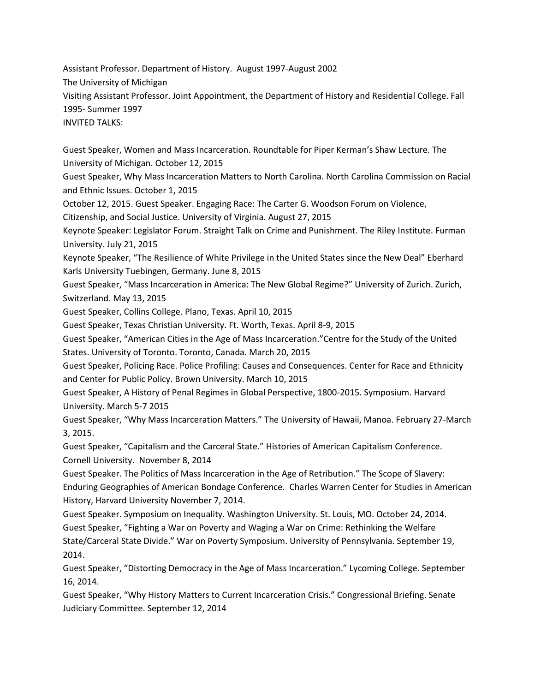Assistant Professor. Department of History. August 1997-August 2002 The University of Michigan Visiting Assistant Professor. Joint Appointment, the Department of History and Residential College. Fall 1995- Summer 1997 INVITED TALKS:

Guest Speaker, Women and Mass Incarceration. Roundtable for Piper Kerman's Shaw Lecture. The University of Michigan. October 12, 2015

Guest Speaker, Why Mass Incarceration Matters to North Carolina. North Carolina Commission on Racial and Ethnic Issues. October 1, 2015

October 12, 2015. Guest Speaker. Engaging Race: The Carter G. Woodson Forum on Violence,

Citizenship, and Social Justice. University of Virginia. August 27, 2015

Keynote Speaker: Legislator Forum. Straight Talk on Crime and Punishment. The Riley Institute. Furman University. July 21, 2015

Keynote Speaker, "The Resilience of White Privilege in the United States since the New Deal" Eberhard Karls University Tuebingen, Germany. June 8, 2015

Guest Speaker, "Mass Incarceration in America: The New Global Regime?" University of Zurich. Zurich, Switzerland. May 13, 2015

Guest Speaker, Collins College. Plano, Texas. April 10, 2015

Guest Speaker, Texas Christian University. Ft. Worth, Texas. April 8-9, 2015

Guest Speaker, "American Cities in the Age of Mass Incarceration."Centre for the Study of the United States. University of Toronto. Toronto, Canada. March 20, 2015

Guest Speaker, Policing Race. Police Profiling: Causes and Consequences. Center for Race and Ethnicity and Center for Public Policy. Brown University. March 10, 2015

Guest Speaker, A History of Penal Regimes in Global Perspective, 1800-2015. Symposium. Harvard University. March 5-7 2015

Guest Speaker, "Why Mass Incarceration Matters." The University of Hawaii, Manoa. February 27-March 3, 2015.

Guest Speaker, "Capitalism and the Carceral State." Histories of American Capitalism Conference. Cornell University. November 8, 2014

Guest Speaker. The Politics of Mass Incarceration in the Age of Retribution." The Scope of Slavery: Enduring Geographies of American Bondage Conference. Charles Warren Center for Studies in American History, Harvard University November 7, 2014.

Guest Speaker. Symposium on Inequality. Washington University. St. Louis, MO. October 24, 2014.

Guest Speaker, "Fighting a War on Poverty and Waging a War on Crime: Rethinking the Welfare State/Carceral State Divide." War on Poverty Symposium. University of Pennsylvania. September 19, 2014.

Guest Speaker, "Distorting Democracy in the Age of Mass Incarceration." Lycoming College. September 16, 2014.

Guest Speaker, "Why History Matters to Current Incarceration Crisis." Congressional Briefing. Senate Judiciary Committee. September 12, 2014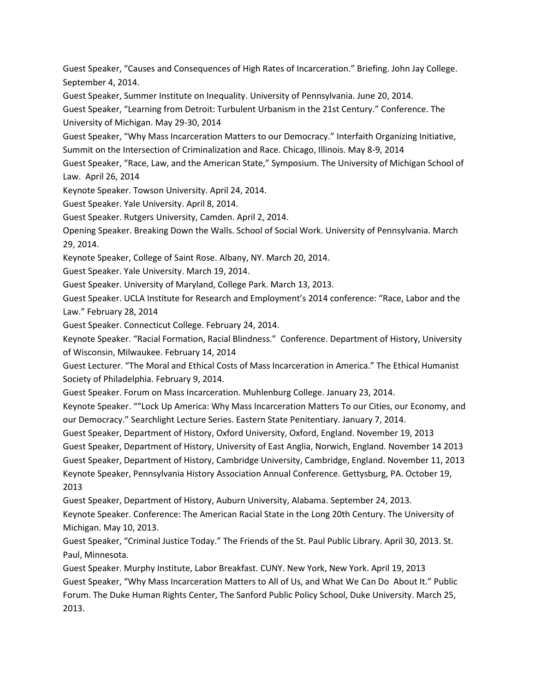Guest Speaker, "Causes and Consequences of High Rates of Incarceration." Briefing. John Jay College. September 4, 2014.

Guest Speaker, Summer Institute on Inequality. University of Pennsylvania. June 20, 2014.

Guest Speaker, "Learning from Detroit: Turbulent Urbanism in the 21st Century." Conference. The University of Michigan. May 29-30, 2014

Guest Speaker, "Why Mass Incarceration Matters to our Democracy." Interfaith Organizing Initiative, Summit on the Intersection of Criminalization and Race. Chicago, Illinois. May 8-9, 2014

Guest Speaker, "Race, Law, and the American State," Symposium. The University of Michigan School of Law. April 26, 2014

Keynote Speaker. Towson University. April 24, 2014.

Guest Speaker. Yale University. April 8, 2014.

Guest Speaker. Rutgers University, Camden. April 2, 2014.

Opening Speaker. Breaking Down the Walls. School of Social Work. University of Pennsylvania. March 29, 2014.

Keynote Speaker, College of Saint Rose. Albany, NY. March 20, 2014.

Guest Speaker. Yale University. March 19, 2014.

Guest Speaker. University of Maryland, College Park. March 13, 2013.

Guest Speaker. UCLA Institute for Research and Employment's 2014 conference: "Race, Labor and the Law." February 28, 2014

Guest Speaker. Connecticut College. February 24, 2014.

Keynote Speaker. "Racial Formation, Racial Blindness." Conference. Department of History, University of Wisconsin, Milwaukee. February 14, 2014

Guest Lecturer. "The Moral and Ethical Costs of Mass Incarceration in America." The Ethical Humanist Society of Philadelphia. February 9, 2014.

Guest Speaker. Forum on Mass Incarceration. Muhlenburg College. January 23, 2014.

Keynote Speaker. ""Lock Up America: Why Mass Incarceration Matters To our Cities, our Economy, and our Democracy." Searchlight Lecture Series. Eastern State Penitentiary. January 7, 2014.

Guest Speaker, Department of History, Oxford University, Oxford, England. November 19, 2013

Guest Speaker, Department of History, University of East Anglia, Norwich, England. November 14 2013 Guest Speaker, Department of History, Cambridge University, Cambridge, England. November 11, 2013 Keynote Speaker, Pennsylvania History Association Annual Conference. Gettysburg, PA. October 19, 2013

Guest Speaker, Department of History, Auburn University, Alabama. September 24, 2013.

Keynote Speaker. Conference: The American Racial State in the Long 20th Century. The University of Michigan. May 10, 2013.

Guest Speaker, "Criminal Justice Today." The Friends of the St. Paul Public Library. April 30, 2013. St. Paul, Minnesota.

Guest Speaker. Murphy Institute, Labor Breakfast. CUNY. New York, New York. April 19, 2013 Guest Speaker, "Why Mass Incarceration Matters to All of Us, and What We Can Do About It." Public Forum. The Duke Human Rights Center, The Sanford Public Policy School, Duke University. March 25, 2013.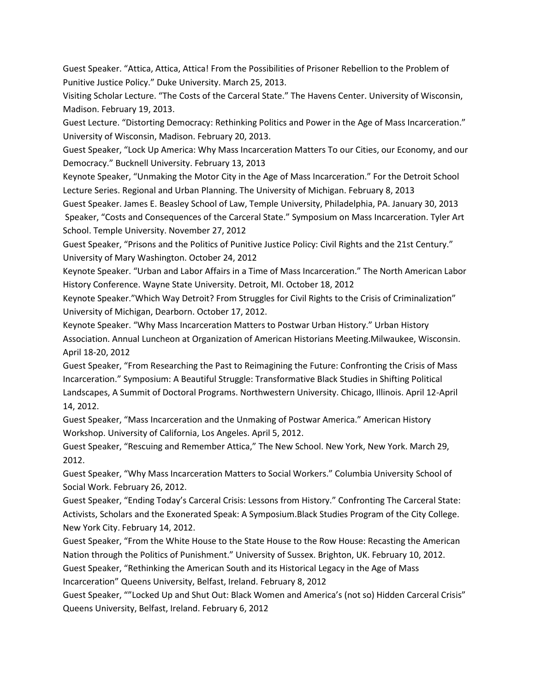Guest Speaker. "Attica, Attica, Attica! From the Possibilities of Prisoner Rebellion to the Problem of Punitive Justice Policy." Duke University. March 25, 2013.

Visiting Scholar Lecture. "The Costs of the Carceral State." The Havens Center. University of Wisconsin, Madison. February 19, 2013.

Guest Lecture. "Distorting Democracy: Rethinking Politics and Power in the Age of Mass Incarceration." University of Wisconsin, Madison. February 20, 2013.

Guest Speaker, "Lock Up America: Why Mass Incarceration Matters To our Cities, our Economy, and our Democracy." Bucknell University. February 13, 2013

Keynote Speaker, "Unmaking the Motor City in the Age of Mass Incarceration." For the Detroit School Lecture Series. Regional and Urban Planning. The University of Michigan. February 8, 2013

Guest Speaker. James E. Beasley School of Law, Temple University, Philadelphia, PA. January 30, 2013 Speaker, "Costs and Consequences of the Carceral State." Symposium on Mass Incarceration. Tyler Art School. Temple University. November 27, 2012

Guest Speaker, "Prisons and the Politics of Punitive Justice Policy: Civil Rights and the 21st Century." University of Mary Washington. October 24, 2012

Keynote Speaker. "Urban and Labor Affairs in a Time of Mass Incarceration." The North American Labor History Conference. Wayne State University. Detroit, MI. October 18, 2012

Keynote Speaker."Which Way Detroit? From Struggles for Civil Rights to the Crisis of Criminalization" University of Michigan, Dearborn. October 17, 2012.

Keynote Speaker. "Why Mass Incarceration Matters to Postwar Urban History." Urban History Association. Annual Luncheon at Organization of American Historians Meeting.Milwaukee, Wisconsin. April 18-20, 2012

Guest Speaker, "From Researching the Past to Reimagining the Future: Confronting the Crisis of Mass Incarceration." Symposium: A Beautiful Struggle: Transformative Black Studies in Shifting Political Landscapes, A Summit of Doctoral Programs. Northwestern University. Chicago, Illinois. April 12-April 14, 2012.

Guest Speaker, "Mass Incarceration and the Unmaking of Postwar America." American History Workshop. University of California, Los Angeles. April 5, 2012.

Guest Speaker, "Rescuing and Remember Attica," The New School. New York, New York. March 29, 2012.

Guest Speaker, "Why Mass Incarceration Matters to Social Workers." Columbia University School of Social Work. February 26, 2012.

Guest Speaker, "Ending Today's Carceral Crisis: Lessons from History." Confronting The Carceral State: Activists, Scholars and the Exonerated Speak: A Symposium.Black Studies Program of the City College. New York City. February 14, 2012.

Guest Speaker, "From the White House to the State House to the Row House: Recasting the American Nation through the Politics of Punishment." University of Sussex. Brighton, UK. February 10, 2012.

Guest Speaker, "Rethinking the American South and its Historical Legacy in the Age of Mass Incarceration" Queens University, Belfast, Ireland. February 8, 2012

Guest Speaker, ""Locked Up and Shut Out: Black Women and America's (not so) Hidden Carceral Crisis" Queens University, Belfast, Ireland. February 6, 2012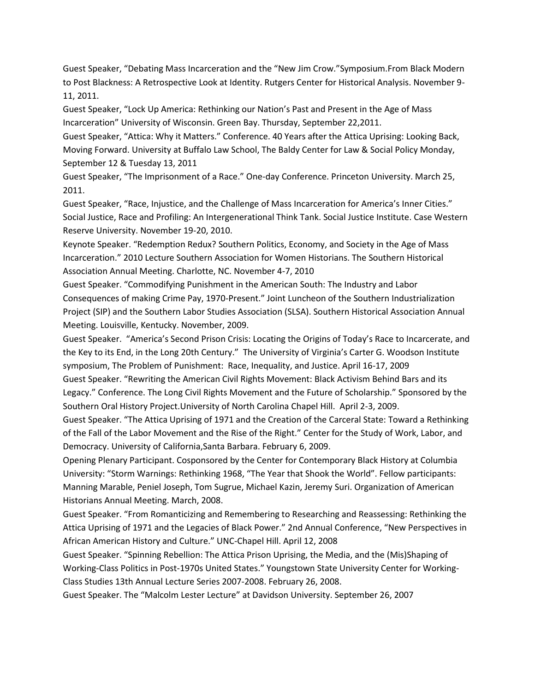Guest Speaker, "Debating Mass Incarceration and the "New Jim Crow."Symposium.From Black Modern to Post Blackness: A Retrospective Look at Identity. Rutgers Center for Historical Analysis. November 9- 11, 2011.

Guest Speaker, "Lock Up America: Rethinking our Nation's Past and Present in the Age of Mass Incarceration" University of Wisconsin. Green Bay. Thursday, September 22,2011.

Guest Speaker, "Attica: Why it Matters." Conference. 40 Years after the Attica Uprising: Looking Back, Moving Forward. University at Buffalo Law School, The Baldy Center for Law & Social Policy Monday, September 12 & Tuesday 13, 2011

Guest Speaker, "The Imprisonment of a Race." One-day Conference. Princeton University. March 25, 2011.

Guest Speaker, "Race, Injustice, and the Challenge of Mass Incarceration for America's Inner Cities." Social Justice, Race and Profiling: An Intergenerational Think Tank. Social Justice Institute. Case Western Reserve University. November 19-20, 2010.

Keynote Speaker. "Redemption Redux? Southern Politics, Economy, and Society in the Age of Mass Incarceration." 2010 Lecture Southern Association for Women Historians. The Southern Historical Association Annual Meeting. Charlotte, NC. November 4-7, 2010

Guest Speaker. "Commodifying Punishment in the American South: The Industry and Labor Consequences of making Crime Pay, 1970-Present." Joint Luncheon of the Southern Industrialization Project (SIP) and the Southern Labor Studies Association (SLSA). Southern Historical Association Annual Meeting. Louisville, Kentucky. November, 2009.

Guest Speaker. "America's Second Prison Crisis: Locating the Origins of Today's Race to Incarcerate, and the Key to its End, in the Long 20th Century." The University of Virginia's Carter G. Woodson Institute symposium, The Problem of Punishment: Race, Inequality, and Justice. April 16-17, 2009 Guest Speaker. "Rewriting the American Civil Rights Movement: Black Activism Behind Bars and its Legacy." Conference. The Long Civil Rights Movement and the Future of Scholarship." Sponsored by the Southern Oral History Project.University of North Carolina Chapel Hill. April 2-3, 2009.

Guest Speaker. "The Attica Uprising of 1971 and the Creation of the Carceral State: Toward a Rethinking of the Fall of the Labor Movement and the Rise of the Right." Center for the Study of Work, Labor, and Democracy. University of California,Santa Barbara. February 6, 2009.

Opening Plenary Participant. Cosponsored by the Center for Contemporary Black History at Columbia University: "Storm Warnings: Rethinking 1968, "The Year that Shook the World". Fellow participants: Manning Marable, Peniel Joseph, Tom Sugrue, Michael Kazin, Jeremy Suri. Organization of American Historians Annual Meeting. March, 2008.

Guest Speaker. "From Romanticizing and Remembering to Researching and Reassessing: Rethinking the Attica Uprising of 1971 and the Legacies of Black Power." 2nd Annual Conference, "New Perspectives in African American History and Culture." UNC-Chapel Hill. April 12, 2008

Guest Speaker. "Spinning Rebellion: The Attica Prison Uprising, the Media, and the (Mis)Shaping of Working-Class Politics in Post-1970s United States." Youngstown State University Center for Working-Class Studies 13th Annual Lecture Series 2007-2008. February 26, 2008.

Guest Speaker. The "Malcolm Lester Lecture" at Davidson University. September 26, 2007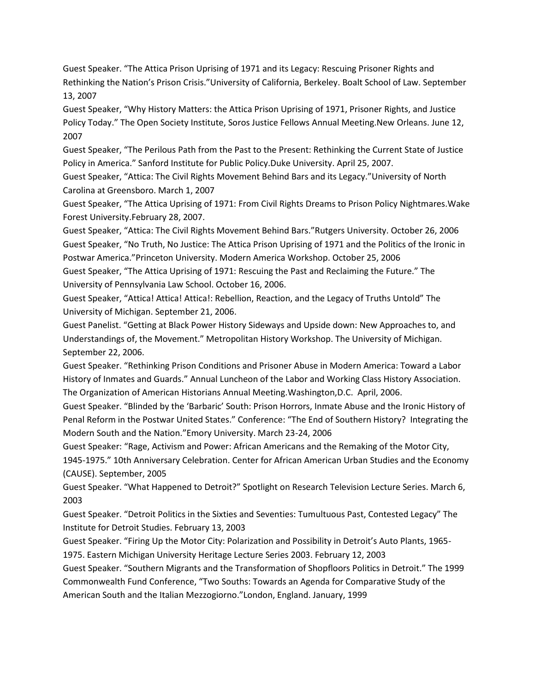Guest Speaker. "The Attica Prison Uprising of 1971 and its Legacy: Rescuing Prisoner Rights and Rethinking the Nation's Prison Crisis."University of California, Berkeley. Boalt School of Law. September 13, 2007

Guest Speaker, "Why History Matters: the Attica Prison Uprising of 1971, Prisoner Rights, and Justice Policy Today." The Open Society Institute, Soros Justice Fellows Annual Meeting.New Orleans. June 12, 2007

Guest Speaker, "The Perilous Path from the Past to the Present: Rethinking the Current State of Justice Policy in America." Sanford Institute for Public Policy.Duke University. April 25, 2007.

Guest Speaker, "Attica: The Civil Rights Movement Behind Bars and its Legacy."University of North Carolina at Greensboro. March 1, 2007

Guest Speaker, "The Attica Uprising of 1971: From Civil Rights Dreams to Prison Policy Nightmares.Wake Forest University.February 28, 2007.

Guest Speaker, "Attica: The Civil Rights Movement Behind Bars."Rutgers University. October 26, 2006 Guest Speaker, "No Truth, No Justice: The Attica Prison Uprising of 1971 and the Politics of the Ironic in Postwar America."Princeton University. Modern America Workshop. October 25, 2006

Guest Speaker, "The Attica Uprising of 1971: Rescuing the Past and Reclaiming the Future." The University of Pennsylvania Law School. October 16, 2006.

Guest Speaker, "Attica! Attica! Attica!: Rebellion, Reaction, and the Legacy of Truths Untold" The University of Michigan. September 21, 2006.

Guest Panelist. "Getting at Black Power History Sideways and Upside down: New Approaches to, and Understandings of, the Movement." Metropolitan History Workshop. The University of Michigan. September 22, 2006.

Guest Speaker. "Rethinking Prison Conditions and Prisoner Abuse in Modern America: Toward a Labor History of Inmates and Guards." Annual Luncheon of the Labor and Working Class History Association. The Organization of American Historians Annual Meeting.Washington,D.C. April, 2006.

Guest Speaker. "Blinded by the 'Barbaric' South: Prison Horrors, Inmate Abuse and the Ironic History of Penal Reform in the Postwar United States." Conference: "The End of Southern History? Integrating the Modern South and the Nation."Emory University. March 23-24, 2006

Guest Speaker: "Rage, Activism and Power: African Americans and the Remaking of the Motor City, 1945-1975." 10th Anniversary Celebration. Center for African American Urban Studies and the Economy (CAUSE). September, 2005

Guest Speaker. "What Happened to Detroit?" Spotlight on Research Television Lecture Series. March 6, 2003

Guest Speaker. "Detroit Politics in the Sixties and Seventies: Tumultuous Past, Contested Legacy" The Institute for Detroit Studies. February 13, 2003

Guest Speaker. "Firing Up the Motor City: Polarization and Possibility in Detroit's Auto Plants, 1965- 1975. Eastern Michigan University Heritage Lecture Series 2003. February 12, 2003

Guest Speaker. "Southern Migrants and the Transformation of Shopfloors Politics in Detroit." The 1999 Commonwealth Fund Conference, "Two Souths: Towards an Agenda for Comparative Study of the American South and the Italian Mezzogiorno."London, England. January, 1999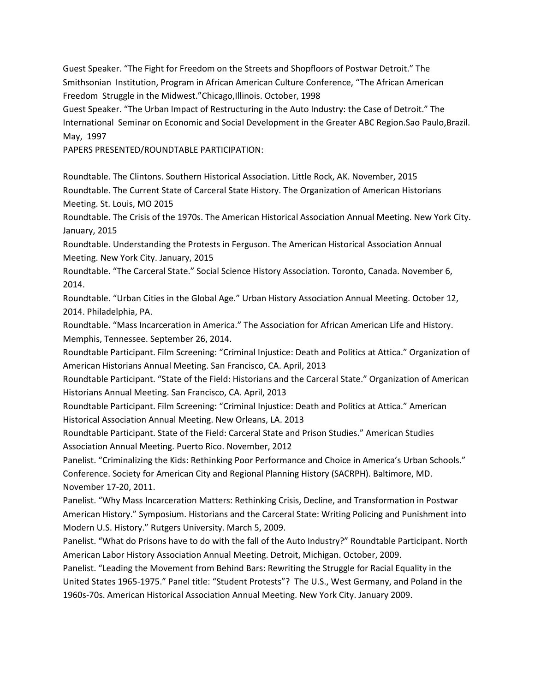Guest Speaker. "The Fight for Freedom on the Streets and Shopfloors of Postwar Detroit." The Smithsonian Institution, Program in African American Culture Conference, "The African American Freedom Struggle in the Midwest."Chicago,Illinois. October, 1998

Guest Speaker. "The Urban Impact of Restructuring in the Auto Industry: the Case of Detroit." The International Seminar on Economic and Social Development in the Greater ABC Region.Sao Paulo,Brazil. May, 1997

PAPERS PRESENTED/ROUNDTABLE PARTICIPATION:

Roundtable. The Clintons. Southern Historical Association. Little Rock, AK. November, 2015 Roundtable. The Current State of Carceral State History. The Organization of American Historians Meeting. St. Louis, MO 2015

Roundtable. The Crisis of the 1970s. The American Historical Association Annual Meeting. New York City. January, 2015

Roundtable. Understanding the Protests in Ferguson. The American Historical Association Annual Meeting. New York City. January, 2015

Roundtable. "The Carceral State." Social Science History Association. Toronto, Canada. November 6, 2014.

Roundtable. "Urban Cities in the Global Age." Urban History Association Annual Meeting. October 12, 2014. Philadelphia, PA.

Roundtable. "Mass Incarceration in America." The Association for African American Life and History. Memphis, Tennessee. September 26, 2014.

Roundtable Participant. Film Screening: "Criminal Injustice: Death and Politics at Attica." Organization of American Historians Annual Meeting. San Francisco, CA. April, 2013

Roundtable Participant. "State of the Field: Historians and the Carceral State." Organization of American Historians Annual Meeting. San Francisco, CA. April, 2013

Roundtable Participant. Film Screening: "Criminal Injustice: Death and Politics at Attica." American Historical Association Annual Meeting. New Orleans, LA. 2013

Roundtable Participant. State of the Field: Carceral State and Prison Studies." American Studies Association Annual Meeting. Puerto Rico. November, 2012

Panelist. "Criminalizing the Kids: Rethinking Poor Performance and Choice in America's Urban Schools." Conference. Society for American City and Regional Planning History (SACRPH). Baltimore, MD. November 17-20, 2011.

Panelist. "Why Mass Incarceration Matters: Rethinking Crisis, Decline, and Transformation in Postwar American History." Symposium. Historians and the Carceral State: Writing Policing and Punishment into Modern U.S. History." Rutgers University. March 5, 2009.

Panelist. "What do Prisons have to do with the fall of the Auto Industry?" Roundtable Participant. North American Labor History Association Annual Meeting. Detroit, Michigan. October, 2009.

Panelist. "Leading the Movement from Behind Bars: Rewriting the Struggle for Racial Equality in the United States 1965-1975." Panel title: "Student Protests"? The U.S., West Germany, and Poland in the 1960s-70s. American Historical Association Annual Meeting. New York City. January 2009.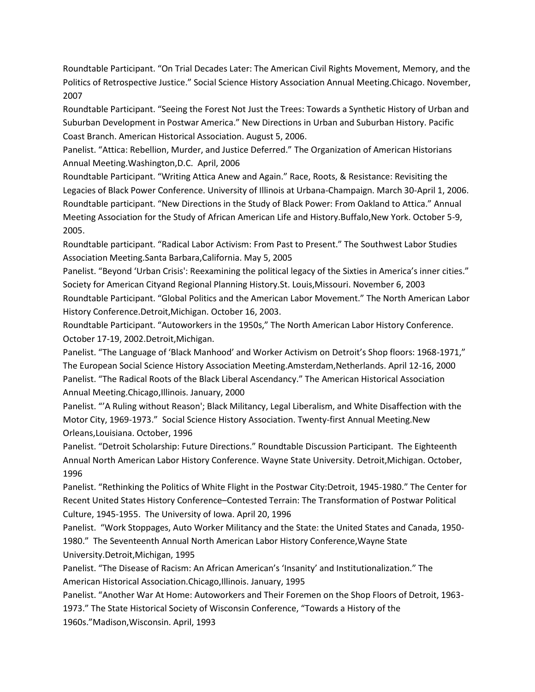Roundtable Participant. "On Trial Decades Later: The American Civil Rights Movement, Memory, and the Politics of Retrospective Justice." Social Science History Association Annual Meeting.Chicago. November, 2007

Roundtable Participant. "Seeing the Forest Not Just the Trees: Towards a Synthetic History of Urban and Suburban Development in Postwar America." New Directions in Urban and Suburban History. Pacific Coast Branch. American Historical Association. August 5, 2006.

Panelist. "Attica: Rebellion, Murder, and Justice Deferred." The Organization of American Historians Annual Meeting.Washington,D.C. April, 2006

Roundtable Participant. "Writing Attica Anew and Again." Race, Roots, & Resistance: Revisiting the Legacies of Black Power Conference. University of Illinois at Urbana-Champaign. March 30-April 1, 2006. Roundtable participant. "New Directions in the Study of Black Power: From Oakland to Attica." Annual Meeting Association for the Study of African American Life and History.Buffalo,New York. October 5-9, 2005.

Roundtable participant. "Radical Labor Activism: From Past to Present." The Southwest Labor Studies Association Meeting.Santa Barbara,California. May 5, 2005

Panelist. "Beyond 'Urban Crisis': Reexamining the political legacy of the Sixties in America's inner cities." Society for American Cityand Regional Planning History.St. Louis,Missouri. November 6, 2003 Roundtable Participant. "Global Politics and the American Labor Movement." The North American Labor History Conference.Detroit,Michigan. October 16, 2003.

Roundtable Participant. "Autoworkers in the 1950s," The North American Labor History Conference. October 17-19, 2002.Detroit,Michigan.

Panelist. "The Language of 'Black Manhood' and Worker Activism on Detroit's Shop floors: 1968-1971," The European Social Science History Association Meeting.Amsterdam,Netherlands. April 12-16, 2000 Panelist. "The Radical Roots of the Black Liberal Ascendancy." The American Historical Association Annual Meeting.Chicago,Illinois. January, 2000

Panelist. "'A Ruling without Reason'; Black Militancy, Legal Liberalism, and White Disaffection with the Motor City, 1969-1973." Social Science History Association. Twenty-first Annual Meeting.New Orleans,Louisiana. October, 1996

Panelist. "Detroit Scholarship: Future Directions." Roundtable Discussion Participant. The Eighteenth Annual North American Labor History Conference. Wayne State University. Detroit,Michigan. October, 1996

Panelist. "Rethinking the Politics of White Flight in the Postwar City:Detroit, 1945-1980." The Center for Recent United States History Conference–Contested Terrain: The Transformation of Postwar Political Culture, 1945-1955. The University of Iowa. April 20, 1996

Panelist. "Work Stoppages, Auto Worker Militancy and the State: the United States and Canada, 1950- 1980." The Seventeenth Annual North American Labor History Conference,Wayne State University.Detroit,Michigan, 1995

Panelist. "The Disease of Racism: An African American's 'Insanity' and Institutionalization." The American Historical Association.Chicago,Illinois. January, 1995

Panelist. "Another War At Home: Autoworkers and Their Foremen on the Shop Floors of Detroit, 1963- 1973." The State Historical Society of Wisconsin Conference, "Towards a History of the 1960s."Madison,Wisconsin. April, 1993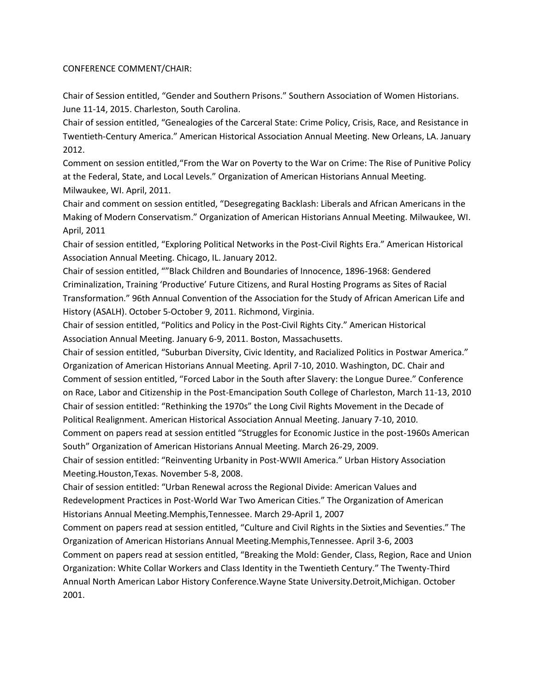## CONFERENCE COMMENT/CHAIR:

Chair of Session entitled, "Gender and Southern Prisons." Southern Association of Women Historians. June 11-14, 2015. Charleston, South Carolina.

Chair of session entitled, "Genealogies of the Carceral State: Crime Policy, Crisis, Race, and Resistance in Twentieth-Century America." American Historical Association Annual Meeting. New Orleans, LA. January 2012.

Comment on session entitled,"From the War on Poverty to the War on Crime: The Rise of Punitive Policy at the Federal, State, and Local Levels." Organization of American Historians Annual Meeting. Milwaukee, WI. April, 2011.

Chair and comment on session entitled, "Desegregating Backlash: Liberals and African Americans in the Making of Modern Conservatism." Organization of American Historians Annual Meeting. Milwaukee, WI. April, 2011

Chair of session entitled, "Exploring Political Networks in the Post-Civil Rights Era." American Historical Association Annual Meeting. Chicago, IL. January 2012.

Chair of session entitled, ""Black Children and Boundaries of Innocence, 1896-1968: Gendered Criminalization, Training 'Productive' Future Citizens, and Rural Hosting Programs as Sites of Racial Transformation." 96th Annual Convention of the Association for the Study of African American Life and History (ASALH). October 5-October 9, 2011. Richmond, Virginia.

Chair of session entitled, "Politics and Policy in the Post-Civil Rights City." American Historical Association Annual Meeting. January 6-9, 2011. Boston, Massachusetts.

Chair of session entitled, "Suburban Diversity, Civic Identity, and Racialized Politics in Postwar America." Organization of American Historians Annual Meeting. April 7-10, 2010. Washington, DC. Chair and Comment of session entitled, "Forced Labor in the South after Slavery: the Longue Duree." Conference on Race, Labor and Citizenship in the Post-Emancipation South College of Charleston, March 11-13, 2010 Chair of session entitled: "Rethinking the 1970s" the Long Civil Rights Movement in the Decade of Political Realignment. American Historical Association Annual Meeting. January 7-10, 2010.

Comment on papers read at session entitled "Struggles for Economic Justice in the post-1960s American South" Organization of American Historians Annual Meeting. March 26-29, 2009.

Chair of session entitled: "Reinventing Urbanity in Post-WWII America." Urban History Association Meeting.Houston,Texas. November 5-8, 2008.

Chair of session entitled: "Urban Renewal across the Regional Divide: American Values and Redevelopment Practices in Post-World War Two American Cities." The Organization of American Historians Annual Meeting.Memphis,Tennessee. March 29-April 1, 2007

Comment on papers read at session entitled, "Culture and Civil Rights in the Sixties and Seventies." The Organization of American Historians Annual Meeting.Memphis,Tennessee. April 3-6, 2003 Comment on papers read at session entitled, "Breaking the Mold: Gender, Class, Region, Race and Union Organization: White Collar Workers and Class Identity in the Twentieth Century." The Twenty-Third Annual North American Labor History Conference.Wayne State University.Detroit,Michigan. October 2001.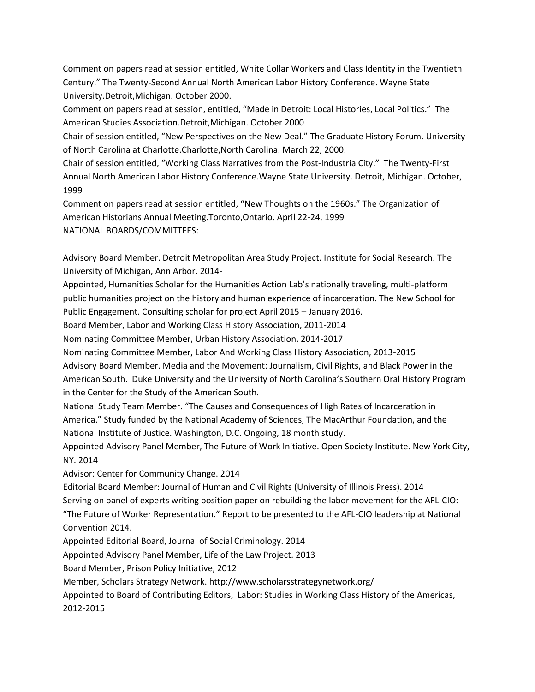Comment on papers read at session entitled, White Collar Workers and Class Identity in the Twentieth Century." The Twenty-Second Annual North American Labor History Conference. Wayne State University.Detroit,Michigan. October 2000.

Comment on papers read at session, entitled, "Made in Detroit: Local Histories, Local Politics." The American Studies Association.Detroit,Michigan. October 2000

Chair of session entitled, "New Perspectives on the New Deal." The Graduate History Forum. University of North Carolina at Charlotte.Charlotte,North Carolina. March 22, 2000.

Chair of session entitled, "Working Class Narratives from the Post-IndustrialCity." The Twenty-First Annual North American Labor History Conference.Wayne State University. Detroit, Michigan. October, 1999

Comment on papers read at session entitled, "New Thoughts on the 1960s." The Organization of American Historians Annual Meeting.Toronto,Ontario. April 22-24, 1999 NATIONAL BOARDS/COMMITTEES:

Advisory Board Member. Detroit Metropolitan Area Study Project. Institute for Social Research. The University of Michigan, Ann Arbor. 2014-

Appointed, Humanities Scholar for the Humanities Action Lab's nationally traveling, multi-platform public humanities project on the history and human experience of incarceration. The New School for Public Engagement. Consulting scholar for project April 2015 – January 2016.

Board Member, Labor and Working Class History Association, 2011-2014

Nominating Committee Member, Urban History Association, 2014-2017

Nominating Committee Member, Labor And Working Class History Association, 2013-2015 Advisory Board Member. Media and the Movement: Journalism, Civil Rights, and Black Power in the American South. Duke University and the University of North Carolina's Southern Oral History Program in the Center for the Study of the American South.

National Study Team Member. "The Causes and Consequences of High Rates of Incarceration in America." Study funded by the National Academy of Sciences, The MacArthur Foundation, and the National Institute of Justice. Washington, D.C. Ongoing, 18 month study.

Appointed Advisory Panel Member, The Future of Work Initiative. Open Society Institute. New York City, NY. 2014

Advisor: Center for Community Change. 2014

Editorial Board Member: Journal of Human and Civil Rights (University of Illinois Press). 2014 Serving on panel of experts writing position paper on rebuilding the labor movement for the AFL-CIO: "The Future of Worker Representation." Report to be presented to the AFL-CIO leadership at National Convention 2014.

Appointed Editorial Board, Journal of Social Criminology. 2014

Appointed Advisory Panel Member, Life of the Law Project. 2013

Board Member, Prison Policy Initiative, 2012

Member, Scholars Strategy Network. http://www.scholarsstrategynetwork.org/

Appointed to Board of Contributing Editors, Labor: Studies in Working Class History of the Americas, 2012-2015